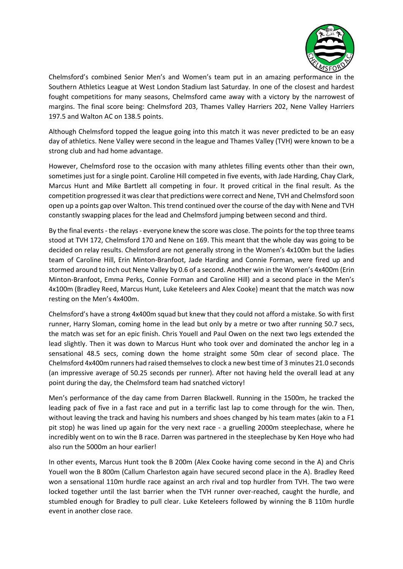

Chelmsford's combined Senior Men's and Women's team put in an amazing performance in the Southern Athletics League at West London Stadium last Saturday. In one of the closest and hardest fought competitions for many seasons, Chelmsford came away with a victory by the narrowest of margins. The final score being: Chelmsford 203, Thames Valley Harriers 202, Nene Valley Harriers 197.5 and Walton AC on 138.5 points.

Although Chelmsford topped the league going into this match it was never predicted to be an easy day of athletics. Nene Valley were second in the league and Thames Valley (TVH) were known to be a strong club and had home advantage.

However, Chelmsford rose to the occasion with many athletes filling events other than their own, sometimes just for a single point. Caroline Hill competed in five events, with Jade Harding, Chay Clark, Marcus Hunt and Mike Bartlett all competing in four. It proved critical in the final result. As the competition progressed it was clear that predictions were correct and Nene, TVH and Chelmsford soon open up a points gap over Walton. This trend continued over the course of the day with Nene and TVH constantly swapping places for the lead and Chelmsford jumping between second and third.

By the final events - the relays- everyone knew the score was close. The points for the top three teams stood at TVH 172, Chelmsford 170 and Nene on 169. This meant that the whole day was going to be decided on relay results. Chelmsford are not generally strong in the Women's 4x100m but the ladies team of Caroline Hill, Erin Minton-Branfoot, Jade Harding and Connie Forman, were fired up and stormed around to inch out Nene Valley by 0.6 of a second. Another win in the Women's 4x400m (Erin Minton-Branfoot, Emma Perks, Connie Forman and Caroline Hill) and a second place in the Men's 4x100m (Bradley Reed, Marcus Hunt, Luke Keteleers and Alex Cooke) meant that the match was now resting on the Men's 4x400m.

Chelmsford's have a strong 4x400m squad but knew that they could not afford a mistake. So with first runner, Harry Sloman, coming home in the lead but only by a metre or two after running 50.7 secs, the match was set for an epic finish. Chris Youell and Paul Owen on the next two legs extended the lead slightly. Then it was down to Marcus Hunt who took over and dominated the anchor leg in a sensational 48.5 secs, coming down the home straight some 50m clear of second place. The Chelmsford 4x400m runners had raised themselves to clock a new best time of 3 minutes 21.0 seconds (an impressive average of 50.25 seconds per runner). After not having held the overall lead at any point during the day, the Chelmsford team had snatched victory!

Men's performance of the day came from Darren Blackwell. Running in the 1500m, he tracked the leading pack of five in a fast race and put in a terrific last lap to come through for the win. Then, without leaving the track and having his numbers and shoes changed by his team mates (akin to a F1 pit stop) he was lined up again for the very next race - a gruelling 2000m steeplechase, where he incredibly went on to win the B race. Darren was partnered in the steeplechase by Ken Hoye who had also run the 5000m an hour earlier!

In other events, Marcus Hunt took the B 200m (Alex Cooke having come second in the A) and Chris Youell won the B 800m (Callum Charleston again have secured second place in the A). Bradley Reed won a sensational 110m hurdle race against an arch rival and top hurdler from TVH. The two were locked together until the last barrier when the TVH runner over-reached, caught the hurdle, and stumbled enough for Bradley to pull clear. Luke Keteleers followed by winning the B 110m hurdle event in another close race.